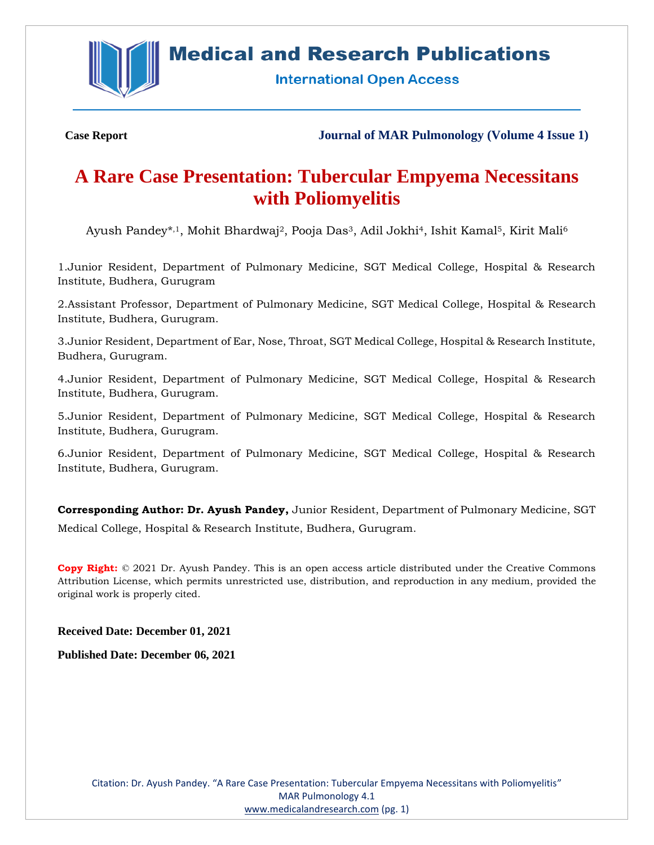

# **Medical and Research Publications**

**International Open Access** 

**Case Report Journal of MAR Pulmonology (Volume 4 Issue 1)**

# **A Rare Case Presentation: Tubercular Empyema Necessitans with Poliomyelitis**

Ayush Pandey\*,<sup>1</sup>, Mohit Bhardwaj<sup>2</sup>, Pooja Das<sup>3</sup>, Adil Jokhi<sup>4</sup>, Ishit Kamal<sup>5</sup>, Kirit Mali<sup>6</sup>

1.Junior Resident, Department of Pulmonary Medicine, SGT Medical College, Hospital & Research Institute, Budhera, Gurugram

2.Assistant Professor, Department of Pulmonary Medicine, SGT Medical College, Hospital & Research Institute, Budhera, Gurugram.

3.Junior Resident, Department of Ear, Nose, Throat, SGT Medical College, Hospital & Research Institute, Budhera, Gurugram.

4.Junior Resident, Department of Pulmonary Medicine, SGT Medical College, Hospital & Research Institute, Budhera, Gurugram.

5.Junior Resident, Department of Pulmonary Medicine, SGT Medical College, Hospital & Research Institute, Budhera, Gurugram.

6.Junior Resident, Department of Pulmonary Medicine, SGT Medical College, Hospital & Research Institute, Budhera, Gurugram.

**Corresponding Author: Dr. Ayush Pandey,** Junior Resident, Department of Pulmonary Medicine, SGT Medical College, Hospital & Research Institute, Budhera, Gurugram.

**Copy Right:** © 2021 Dr. Ayush Pandey. This is an open access article distributed under the Creative Commons Attribution License, which permits unrestricted use, distribution, and reproduction in any medium, provided the original work is properly cited.

**Received Date: December 01, 2021**

**Published Date: December 06, 2021**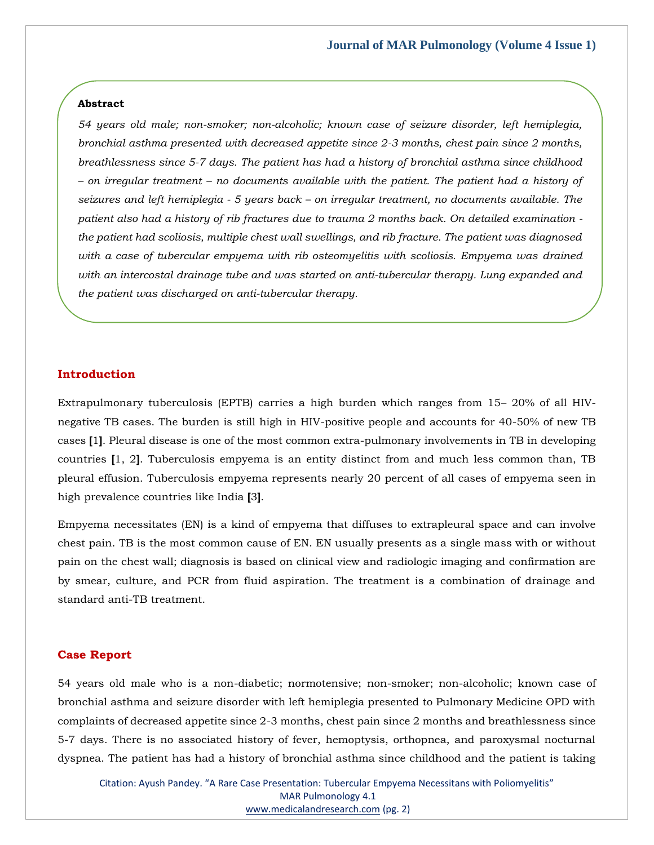#### **Abstract**

*54 years old male; non-smoker; non-alcoholic; known case of seizure disorder, left hemiplegia, bronchial asthma presented with decreased appetite since 2-3 months, chest pain since 2 months, breathlessness since 5-7 days. The patient has had a history of bronchial asthma since childhood – on irregular treatment – no documents available with the patient. The patient had a history of seizures and left hemiplegia - 5 years back – on irregular treatment, no documents available. The patient also had a history of rib fractures due to trauma 2 months back. On detailed examination the patient had scoliosis, multiple chest wall swellings, and rib fracture. The patient was diagnosed with a case of tubercular empyema with rib osteomyelitis with scoliosis. Empyema was drained with an intercostal drainage tube and was started on anti-tubercular therapy. Lung expanded and the patient was discharged on anti-tubercular therapy.*

#### **Introduction**

Extrapulmonary tuberculosis (EPTB) carries a high burden which ranges from 15– 20% of all HIVnegative TB cases. The burden is still high in HIV-positive people and accounts for 40-50% of new TB cases **[**1**]**. Pleural disease is one of the most common extra-pulmonary involvements in TB in developing countries **[**1, 2**]**. Tuberculosis empyema is an entity distinct from and much less common than, TB pleural effusion. Tuberculosis empyema represents nearly 20 percent of all cases of empyema seen in high prevalence countries like India **[**3**]**.

Empyema necessitates (EN) is a kind of empyema that diffuses to extrapleural space and can involve chest pain. TB is the most common cause of EN. EN usually presents as a single mass with or without pain on the chest wall; diagnosis is based on clinical view and radiologic imaging and confirmation are by smear, culture, and PCR from fluid aspiration. The treatment is a combination of drainage and standard anti-TB treatment.

#### **Case Report**

54 years old male who is a non-diabetic; normotensive; non-smoker; non-alcoholic; known case of bronchial asthma and seizure disorder with left hemiplegia presented to Pulmonary Medicine OPD with complaints of decreased appetite since 2-3 months, chest pain since 2 months and breathlessness since 5-7 days. There is no associated history of fever, hemoptysis, orthopnea, and paroxysmal nocturnal dyspnea. The patient has had a history of bronchial asthma since childhood and the patient is taking

Citation: Ayush Pandey. "A Rare Case Presentation: Tubercular Empyema Necessitans with Poliomyelitis" MAR Pulmonology 4.1 [www.medicalandresearch.com](http://www.medicalandresearch.com/) (pg. 2)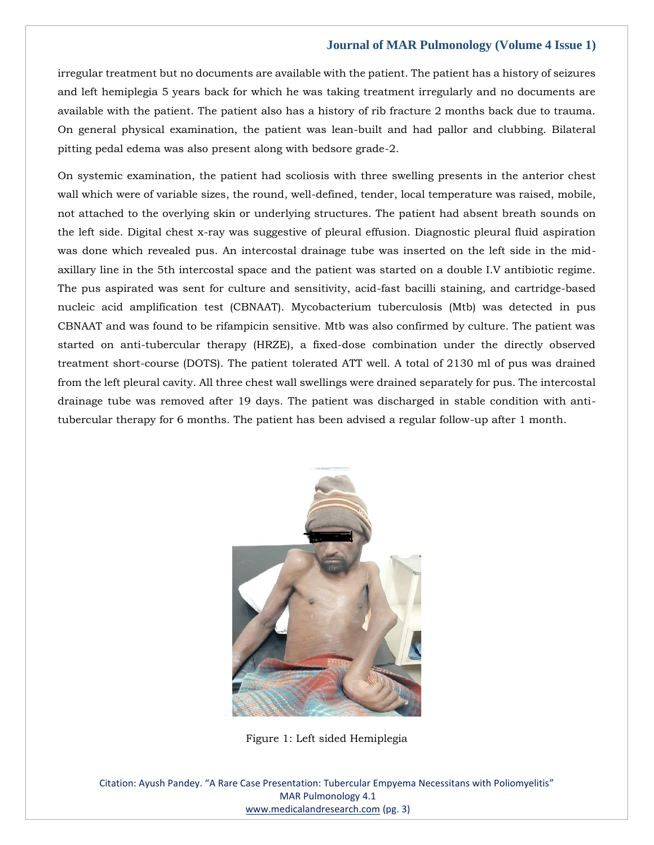irregular treatment but no documents are available with the patient. The patient has a history of seizures and left hemiplegia 5 years back for which he was taking treatment irregularly and no documents are available with the patient. The patient also has a history of rib fracture 2 months back due to trauma. On general physical examination, the patient was lean-built and had pallor and clubbing. Bilateral pitting pedal edema was also present along with bedsore grade-2.

On systemic examination, the patient had scoliosis with three swelling presents in the anterior chest wall which were of variable sizes, the round, well-defined, tender, local temperature was raised, mobile, not attached to the overlying skin or underlying structures. The patient had absent breath sounds on the left side. Digital chest x-ray was suggestive of pleural effusion. Diagnostic pleural fluid aspiration was done which revealed pus. An intercostal drainage tube was inserted on the left side in the midaxillary line in the 5th intercostal space and the patient was started on a double I.V antibiotic regime. The pus aspirated was sent for culture and sensitivity, acid-fast bacilli staining, and cartridge-based nucleic acid amplification test (CBNAAT). Mycobacterium tuberculosis (Mtb) was detected in pus CBNAAT and was found to be rifampicin sensitive. Mtb was also confirmed by culture. The patient was started on anti-tubercular therapy (HRZE), a fixed-dose combination under the directly observed treatment short-course (DOTS). The patient tolerated ATT well. A total of 2130 ml of pus was drained from the left pleural cavity. All three chest wall swellings were drained separately for pus. The intercostal drainage tube was removed after 19 days. The patient was discharged in stable condition with antitubercular therapy for 6 months. The patient has been advised a regular follow-up after 1 month.



Figure 1: Left sided Hemiplegia

Citation: Ayush Pandey. "A Rare Case Presentation: Tubercular Empyema Necessitans with Poliomyelitis" MAR Pulmonology 4.1 [www.medicalandresearch.com](http://www.medicalandresearch.com/) (pg. 3)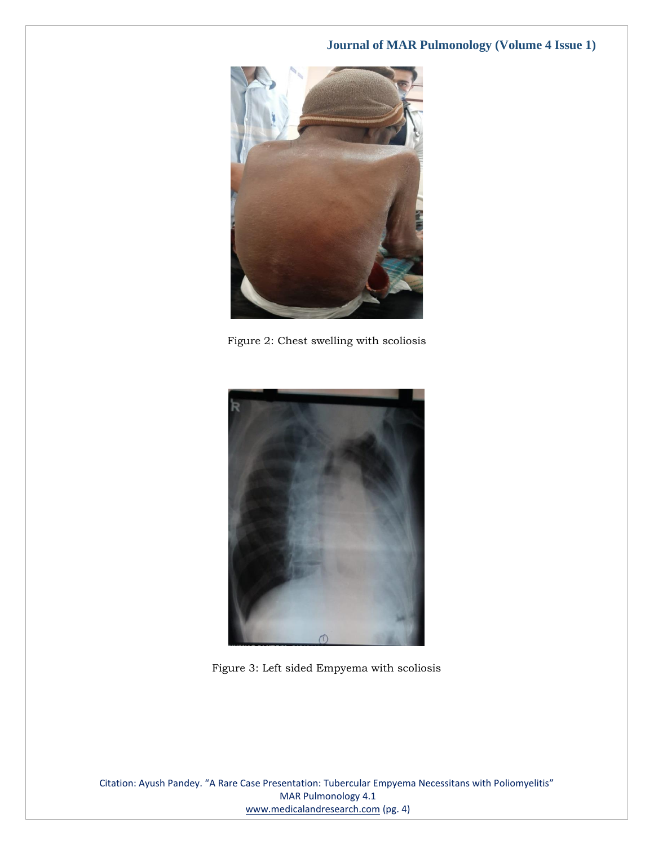

Figure 2: Chest swelling with scoliosis



Figure 3: Left sided Empyema with scoliosis

Citation: Ayush Pandey. "A Rare Case Presentation: Tubercular Empyema Necessitans with Poliomyelitis" MAR Pulmonology 4.1 [www.medicalandresearch.com](http://www.medicalandresearch.com/) (pg. 4)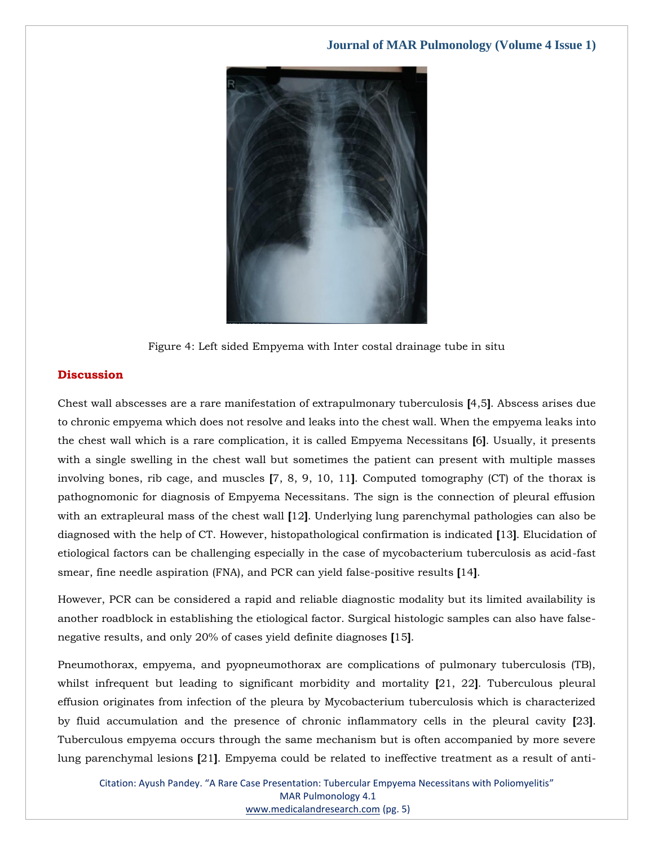

Figure 4: Left sided Empyema with Inter costal drainage tube in situ

#### **Discussion**

Chest wall abscesses are a rare manifestation of extrapulmonary tuberculosis **[**4,5**]**. Abscess arises due to chronic empyema which does not resolve and leaks into the chest wall. When the empyema leaks into the chest wall which is a rare complication, it is called Empyema Necessitans **[**6**]**. Usually, it presents with a single swelling in the chest wall but sometimes the patient can present with multiple masses involving bones, rib cage, and muscles **[**7, 8, 9, 10, 11**]**. Computed tomography (CT) of the thorax is pathognomonic for diagnosis of Empyema Necessitans. The sign is the connection of pleural effusion with an extrapleural mass of the chest wall **[**12**]**. Underlying lung parenchymal pathologies can also be diagnosed with the help of CT. However, histopathological confirmation is indicated **[**13**]**. Elucidation of etiological factors can be challenging especially in the case of mycobacterium tuberculosis as acid-fast smear, fine needle aspiration (FNA), and PCR can yield false-positive results **[**14**]**.

However, PCR can be considered a rapid and reliable diagnostic modality but its limited availability is another roadblock in establishing the etiological factor. Surgical histologic samples can also have falsenegative results, and only 20% of cases yield definite diagnoses **[**15**]**.

Pneumothorax, empyema, and pyopneumothorax are complications of pulmonary tuberculosis (TB), whilst infrequent but leading to significant morbidity and mortality **[**21, 22**]**. Tuberculous pleural effusion originates from infection of the pleura by Mycobacterium tuberculosis which is characterized by fluid accumulation and the presence of chronic inflammatory cells in the pleural cavity **[**23**]**. Tuberculous empyema occurs through the same mechanism but is often accompanied by more severe lung parenchymal lesions **[**21**]**. Empyema could be related to ineffective treatment as a result of anti-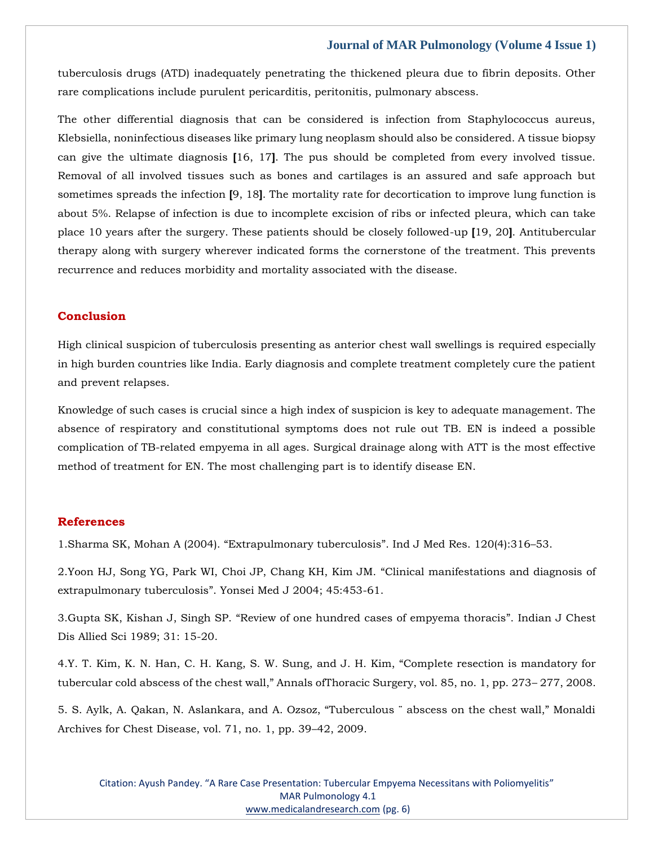tuberculosis drugs (ATD) inadequately penetrating the thickened pleura due to fibrin deposits. Other rare complications include purulent pericarditis, peritonitis, pulmonary abscess.

The other differential diagnosis that can be considered is infection from Staphylococcus aureus, Klebsiella, noninfectious diseases like primary lung neoplasm should also be considered. A tissue biopsy can give the ultimate diagnosis **[**16, 17**]**. The pus should be completed from every involved tissue. Removal of all involved tissues such as bones and cartilages is an assured and safe approach but sometimes spreads the infection **[**9, 18**]**. The mortality rate for decortication to improve lung function is about 5%. Relapse of infection is due to incomplete excision of ribs or infected pleura, which can take place 10 years after the surgery. These patients should be closely followed-up **[**19, 20**]**. Antitubercular therapy along with surgery wherever indicated forms the cornerstone of the treatment. This prevents recurrence and reduces morbidity and mortality associated with the disease.

## **Conclusion**

High clinical suspicion of tuberculosis presenting as anterior chest wall swellings is required especially in high burden countries like India. Early diagnosis and complete treatment completely cure the patient and prevent relapses.

Knowledge of such cases is crucial since a high index of suspicion is key to adequate management. The absence of respiratory and constitutional symptoms does not rule out TB. EN is indeed a possible complication of TB-related empyema in all ages. Surgical drainage along with ATT is the most effective method of treatment for EN. The most challenging part is to identify disease EN.

# **References**

1[.Sharma SK, Mohan A \(2004\).](https://www.google.com/search?q=extrapulmonary+tuberculosis&oq=Extrapulmonary+tuberculosis&aqs=chrome.0.0i512l10.375j0j7&sourceid=chrome&ie=UTF-8) "Extrapulmonary tuberculosis". Ind J Med Res. 120(4):316–53.

2[.Yoon HJ, Song YG, Park WI, Choi JP, Chang KH, Kim JM.](https://www.google.com/search?q=Clinical+manifestations+and+diagnosis+of+extrapulmonary+tuberculosis&sxsrf=AOaemvL3I6m-evCKBIzl3sS93E2JVWW9ZQ%3A1638459280608&ei=kOeoYYq2JImY4-EPuv65kAQ&ved=0ahUKEwiKvpi7uMX0AhUJzDgGHTp_DkIQ4dUDCA4&uact=5&oq=Clinical+manifestations+and+diagnosis+of+extrapulmonary+tuberculosis&gs_lcp=Cgdnd3Mtd2l6EAMyBggAEBYQHjoHCCMQ6gIQJ0oECEEYAEoECEYYAFDVB1jVB2CGE2gBcAJ4AIAB6AGIAegBkgEDMi0xmAEAoAEBoAECsAEKwAEB&sclient=gws-wiz) "Clinical manifestations and diagnosis of extrapulmonary tuberculosis"[. Yonsei Med J 2004; 45:453-61.](https://www.google.com/search?q=Clinical+manifestations+and+diagnosis+of+extrapulmonary+tuberculosis&sxsrf=AOaemvL3I6m-evCKBIzl3sS93E2JVWW9ZQ%3A1638459280608&ei=kOeoYYq2JImY4-EPuv65kAQ&ved=0ahUKEwiKvpi7uMX0AhUJzDgGHTp_DkIQ4dUDCA4&uact=5&oq=Clinical+manifestations+and+diagnosis+of+extrapulmonary+tuberculosis&gs_lcp=Cgdnd3Mtd2l6EAMyBggAEBYQHjoHCCMQ6gIQJ0oECEEYAEoECEYYAFDVB1jVB2CGE2gBcAJ4AIAB6AGIAegBkgEDMi0xmAEAoAEBoAECsAEKwAEB&sclient=gws-wiz)

3.Gupta SK, Kishan J, Singh SP. "[Review of one hundred cases of empyema thoracis](https://www.google.com/search?q=Review+of+one+hundred+cases+of+empyema+thoracis&sxsrf=AOaemvJ7QYfZ51DGoIDqwa-raxWa3l5DQg%3A1638459301276&ei=peeoYeOgENeN4-EP3paMsAw&ved=0ahUKEwijh4bFuMX0AhXXxjgGHV4LA8YQ4dUDCA4&uact=5&oq=Review+of+one+hundred+cases+of+empyema+thoracis&gs_lcp=Cgdnd3Mtd2l6EAMyBwgjEOoCECcyBwgjEOoCECcyBwgjEOoCECcyBwgjEOoCECcyBwgjEOoCECcyBwgjEOoCECcyBwgjEOoCECcyBwgjEOoCECcyBwgjEOoCECcyBwgjEOoCECdKBAhBGABKBAhGGABQpwZYpwZgughoAXACeACAAQCIAQCSAQCYAQCgAQGgAQKwAQrAAQE&sclient=gws-wiz)". Indian J Chest [Dis Allied Sci 1989; 31: 15-20.](https://www.google.com/search?q=Review+of+one+hundred+cases+of+empyema+thoracis&sxsrf=AOaemvJ7QYfZ51DGoIDqwa-raxWa3l5DQg%3A1638459301276&ei=peeoYeOgENeN4-EP3paMsAw&ved=0ahUKEwijh4bFuMX0AhXXxjgGHV4LA8YQ4dUDCA4&uact=5&oq=Review+of+one+hundred+cases+of+empyema+thoracis&gs_lcp=Cgdnd3Mtd2l6EAMyBwgjEOoCECcyBwgjEOoCECcyBwgjEOoCECcyBwgjEOoCECcyBwgjEOoCECcyBwgjEOoCECcyBwgjEOoCECcyBwgjEOoCECcyBwgjEOoCECcyBwgjEOoCECdKBAhBGABKBAhGGABQpwZYpwZgughoAXACeACAAQCIAQCSAQCYAQCgAQGgAQKwAQrAAQE&sclient=gws-wiz)

4.[Y. T. Kim, K. N. Han, C. H. Kang, S. W. Sung, and J. H. Kim, "Comp](https://www.google.com/search?q=Complete+resection+is+mandatory+for+tubercular+cold+abscess+of+the+chest+wall&sxsrf=AOaemvIXR16Q2RBTU8VCnXslugxjWfSV8Q%3A1638459320404&ei=uOeoYbuTGNaP4-EP5_uluAI&ved=0ahUKEwi7z5XOuMX0AhXWxzgGHed9CScQ4dUDCA4&uact=5&oq=Complete+resection+is+mandatory+for+tubercular+cold+abscess+of+the+chest+wall&gs_lcp=Cgdnd3Mtd2l6EAM6BwgjEOoCECdKBAhBGABKBAhGGABQgwZYgwZgnghoAXACeACAAckBiAHJAZIBAzItMZgBAKABAaABArABCsABAQ&sclient=gws-wiz)lete resection is mandatory for [tubercular cold abscess of the chest wall," Annals ofThoracic Surgery, vol. 85, no. 1, pp. 273–](https://www.google.com/search?q=Complete+resection+is+mandatory+for+tubercular+cold+abscess+of+the+chest+wall&sxsrf=AOaemvIXR16Q2RBTU8VCnXslugxjWfSV8Q%3A1638459320404&ei=uOeoYbuTGNaP4-EP5_uluAI&ved=0ahUKEwi7z5XOuMX0AhXWxzgGHed9CScQ4dUDCA4&uact=5&oq=Complete+resection+is+mandatory+for+tubercular+cold+abscess+of+the+chest+wall&gs_lcp=Cgdnd3Mtd2l6EAM6BwgjEOoCECdKBAhBGABKBAhGGABQgwZYgwZgnghoAXACeACAAckBiAHJAZIBAzItMZgBAKABAaABArABCsABAQ&sclient=gws-wiz) 277, 2008.

5. [S. Aylk, A. Qakan, N. Aslankara, and A. Ozsoz, "Tuberculous ¨ abscess on the chest wall," Monaldi](https://www.google.com/search?q=Tuberculous+%C2%A8+abscess+on+the+chest+wall&sxsrf=AOaemvIqGtkSEk3xAP87oLC67GTS15kbBQ%3A1638459340440&ei=zOeoYaavGq6X4-EP08ekgAQ&ved=0ahUKEwimxdzXuMX0AhWuyzgGHdMjCUAQ4dUDCA4&uact=5&oq=Tuberculous+%C2%A8+abscess+on+the+chest+wall&gs_lcp=Cgdnd3Mtd2l6EAMyBggAEBYQHjIGCAAQFhAeOgcIIxDqAhAnSgQIQRgASgQIRhgAUOUFWOUFYKIIaAFwAngAgAH3AYgB9wGSAQMyLTGYAQCgAQGgAQKwAQrAAQE&sclient=gws-wiz)  [Archives for Chest Disease, vol. 71, no. 1, pp. 39](https://www.google.com/search?q=Tuberculous+%C2%A8+abscess+on+the+chest+wall&sxsrf=AOaemvIqGtkSEk3xAP87oLC67GTS15kbBQ%3A1638459340440&ei=zOeoYaavGq6X4-EP08ekgAQ&ved=0ahUKEwimxdzXuMX0AhWuyzgGHdMjCUAQ4dUDCA4&uact=5&oq=Tuberculous+%C2%A8+abscess+on+the+chest+wall&gs_lcp=Cgdnd3Mtd2l6EAMyBggAEBYQHjIGCAAQFhAeOgcIIxDqAhAnSgQIQRgASgQIRhgAUOUFWOUFYKIIaAFwAngAgAH3AYgB9wGSAQMyLTGYAQCgAQGgAQKwAQrAAQE&sclient=gws-wiz)–42, 2009.

Citation: Ayush Pandey. "A Rare Case Presentation: Tubercular Empyema Necessitans with Poliomyelitis" MAR Pulmonology 4.1 [www.medicalandresearch.com](http://www.medicalandresearch.com/) (pg. 6)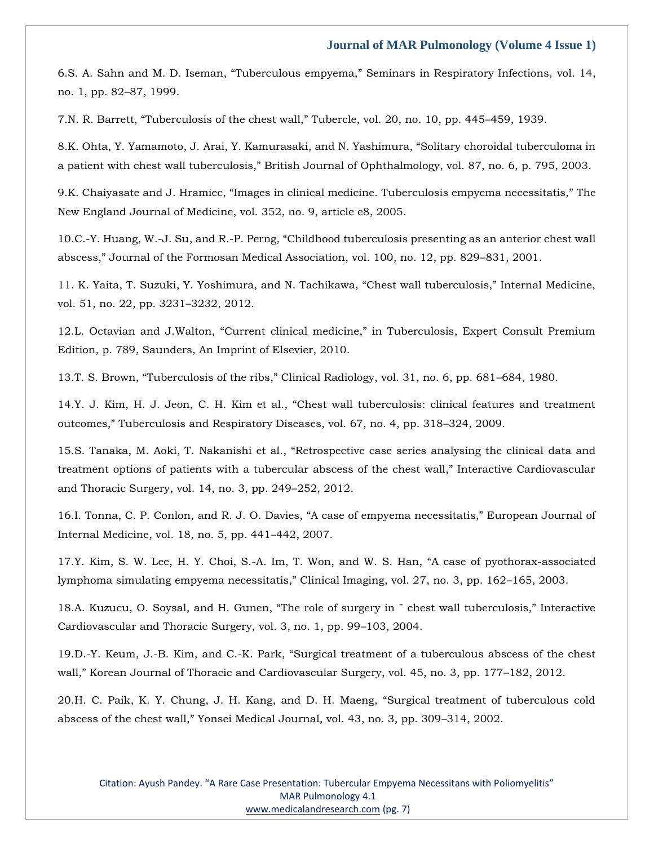6.[S. A. Sahn and M. D. Iseman, "Tuberculous empyema," Seminars in Respiratory Infections,](https://www.google.com/search?q=Tuberculous+empyema&sxsrf=AOaemvId1r3Bl6HQTPjKIDqXF7lpQHQxuQ%3A1638459358543&ei=3ueoYcG-IO6W4-EPtZKqsAw&ved=0ahUKEwjBpa3guMX0AhVuyzgGHTWJCsYQ4dUDCA4&uact=5&oq=Tuberculous+empyema&gs_lcp=Cgdnd3Mtd2l6EAMyBQgAEIAEMgoIABCABBCHAhAUMgUIABCABDIFCAAQgAQyCggAEIAEEIcCEBQyBQgAEIAEMgYIABAWEB4yBggAEBYQHjIGCAAQFhAeMgYIABAWEB46BwgjEOoCECdKBAhBGABKBAhGGABQ1AVY1AVglAhoAXACeACAAcEBiAHBAZIBAzAuMZgBAKABAaABArABCsABAQ&sclient=gws-wiz) vol. 14, [no. 1, pp. 82](https://www.google.com/search?q=Tuberculous+empyema&sxsrf=AOaemvId1r3Bl6HQTPjKIDqXF7lpQHQxuQ%3A1638459358543&ei=3ueoYcG-IO6W4-EPtZKqsAw&ved=0ahUKEwjBpa3guMX0AhVuyzgGHTWJCsYQ4dUDCA4&uact=5&oq=Tuberculous+empyema&gs_lcp=Cgdnd3Mtd2l6EAMyBQgAEIAEMgoIABCABBCHAhAUMgUIABCABDIFCAAQgAQyCggAEIAEEIcCEBQyBQgAEIAEMgYIABAWEB4yBggAEBYQHjIGCAAQFhAeMgYIABAWEB46BwgjEOoCECdKBAhBGABKBAhGGABQ1AVY1AVglAhoAXACeACAAcEBiAHBAZIBAzAuMZgBAKABAaABArABCsABAQ&sclient=gws-wiz)–87, 1999.

7.[N. R. Barrett, "Tuberculosis of the chest wall," Tubercle, vol. 20, no. 10, pp. 445–](https://www.google.com/search?q=Tuberculosis+of+the+chest+wall&sxsrf=AOaemvIn9znTD0YMH_PPUZw3AK3ydBtLFw%3A1638459380389&ei=9OeoYaWfF53J4-EPuuOlyAQ&ved=0ahUKEwil6eLquMX0AhWd5DgGHbpxCUkQ4dUDCA4&uact=5&oq=Tuberculosis+of+the+chest+wall&gs_lcp=Cgdnd3Mtd2l6EAMyBwgjEOoCECcyBwgjEOoCECcyBwgjEOoCECcyBwgjEOoCECcyBwgjEOoCECcyBwgjEOoCECcyBwgjEOoCECcyBwgjEOoCECcyBwgjEOoCECcyBwgjEOoCECdKBAhBGABKBAhGGABQiQZYiQZg_QdoAXACeACAAQCIAQCSAQCYAQCgAQGgAQKwAQrAAQE&sclient=gws-wiz)459, 1939.

8.[K. Ohta, Y. Yamamoto, J. Arai, Y. Kamurasaki, and N. Yashimura, "Solitary choroidal tuberculoma in](https://www.google.com/search?q=Solitary+choroidal+tuberculoma+in+a+patient+with+chest+wall+tuberculosis&sxsrf=AOaemvKL97p2BhlDZqO5PnT5p0dX6-39_g%3A1638459397828&ei=BeioYa7rMZaE4-EP_f-joAE&ved=0ahUKEwjugYvzuMX0AhUWwjgGHf3_CBQQ4dUDCA4&uact=5&oq=Solitary+choroidal+tuberculoma+in+a+patient+with+chest+wall+tuberculosis&gs_lcp=Cgdnd3Mtd2l6EAM6BwgjEOoCECdKBAhBGABKBAhGGABQkQZYkQZgughoAXACeACAAcUBiAHFAZIBAzAuMZgBAKABAaABArABCsABAQ&sclient=gws-wiz)  [a patient with chest wall tuberculosis," British Journal of Ophthalmology, vol. 87, no. 6, p. 795, 2003.](https://www.google.com/search?q=Solitary+choroidal+tuberculoma+in+a+patient+with+chest+wall+tuberculosis&sxsrf=AOaemvKL97p2BhlDZqO5PnT5p0dX6-39_g%3A1638459397828&ei=BeioYa7rMZaE4-EP_f-joAE&ved=0ahUKEwjugYvzuMX0AhUWwjgGHf3_CBQQ4dUDCA4&uact=5&oq=Solitary+choroidal+tuberculoma+in+a+patient+with+chest+wall+tuberculosis&gs_lcp=Cgdnd3Mtd2l6EAM6BwgjEOoCECdKBAhBGABKBAhGGABQkQZYkQZgughoAXACeACAAcUBiAHFAZIBAzAuMZgBAKABAaABArABCsABAQ&sclient=gws-wiz)

9.K[. Chaiyasate and J. Hramiec, "Images in clinical medicine. Tuberculosis empyema necessitatis," The](https://www.google.com/search?q=%E2%80%9CImages+in+clinical+medicine.+Tuberculosis+empyema+necessitatis&sxsrf=AOaemvLmtnDT6ExMIu7vdYn0_ceYdWbPgw%3A1638459421082&ei=HeioYeS8BKSd4-EPuIe5iAI&ved=0ahUKEwikv5b-uMX0AhWkzjgGHbhDDiEQ4dUDCA4&uact=5&oq=%E2%80%9CImages+in+clinical+medicine.+Tuberculosis+empyema+necessitatis&gs_lcp=Cgdnd3Mtd2l6EAM6BwgjEOoCECdKBAhBGABKBAhGGABQ7gVY7gVgmAhoAXAAeACAAcMBiAHDAZIBAzAuMZgBAKABAaABArABCsABAQ&sclient=gws-wiz)  [New England Journal of Medicine, vol. 352, no. 9, article e8, 2005.](https://www.google.com/search?q=%E2%80%9CImages+in+clinical+medicine.+Tuberculosis+empyema+necessitatis&sxsrf=AOaemvLmtnDT6ExMIu7vdYn0_ceYdWbPgw%3A1638459421082&ei=HeioYeS8BKSd4-EPuIe5iAI&ved=0ahUKEwikv5b-uMX0AhWkzjgGHbhDDiEQ4dUDCA4&uact=5&oq=%E2%80%9CImages+in+clinical+medicine.+Tuberculosis+empyema+necessitatis&gs_lcp=Cgdnd3Mtd2l6EAM6BwgjEOoCECdKBAhBGABKBAhGGABQ7gVY7gVgmAhoAXAAeACAAcMBiAHDAZIBAzAuMZgBAKABAaABArABCsABAQ&sclient=gws-wiz)

10.C.-Y. Huang, W.-J. Su, and R.-[P. Perng, "Childhood tuberculosis presenting as an anterior chest wall](https://www.google.com/search?q=Childhood+tuberculosis+presenting+as+an+anterior+chest+wall+abscess&sxsrf=AOaemvJahenwcxjrzF8rHdn0Ka4Q3BEbqA%3A1638459441113&ei=MeioYYevBvnH4-EPtMmV8AE&ved=0ahUKEwjHi92HucX0AhX54zgGHbRkBR4Q4dUDCA4&uact=5&oq=Childhood+tuberculosis+presenting+as+an+anterior+chest+wall+abscess&gs_lcp=Cgdnd3Mtd2l6EAM6BwgjEOoCECdKBAhBGABKBAhGGABQjgZYjgZgqwhoAXAAeACAAdUBiAHVAZIBAzItMZgBAKABAaABArABCsABAQ&sclient=gws-wiz)  [abscess," Journal of the Formosan Medical Association, vol. 100, no. 12, pp. 829–](https://www.google.com/search?q=Childhood+tuberculosis+presenting+as+an+anterior+chest+wall+abscess&sxsrf=AOaemvJahenwcxjrzF8rHdn0Ka4Q3BEbqA%3A1638459441113&ei=MeioYYevBvnH4-EPtMmV8AE&ved=0ahUKEwjHi92HucX0AhX54zgGHbRkBR4Q4dUDCA4&uact=5&oq=Childhood+tuberculosis+presenting+as+an+anterior+chest+wall+abscess&gs_lcp=Cgdnd3Mtd2l6EAM6BwgjEOoCECdKBAhBGABKBAhGGABQjgZYjgZgqwhoAXAAeACAAdUBiAHVAZIBAzItMZgBAKABAaABArABCsABAQ&sclient=gws-wiz)831, 2001.

11. [K. Yaita, T. Suzuki, Y. Yoshimura, and N. Tachikawa, "Chest wall tuberculosis," Internal Medicine,](https://www.google.com/search?q=Chest+wall+tuberculosis&sxsrf=AOaemvJSgWb5AWdoacaom2j6hPPgsINUNw%3A1638459459363&ei=Q-ioYfbQFfmF4-EPp-KzoAc&ved=0ahUKEwi2_raQucX0AhX5wjgGHSfxDHQQ4dUDCA4&uact=5&oq=Chest+wall+tuberculosis&gs_lcp=Cgdnd3Mtd2l6EAMyBQgAEIAEMgUIABCABDIGCAAQFhAeMgYIABAWEB4yBggAEBYQHjIGCAAQFhAeOgcIIxDqAhAnSgQIQRgASgQIRhgAUO8FWO8FYJQIaAFwAHgAgAG-AYgBvgGSAQMwLjGYAQCgAQGgAQKwAQrAAQE&sclient=gws-wiz)  [vol. 51, no. 22, pp. 3231](https://www.google.com/search?q=Chest+wall+tuberculosis&sxsrf=AOaemvJSgWb5AWdoacaom2j6hPPgsINUNw%3A1638459459363&ei=Q-ioYfbQFfmF4-EPp-KzoAc&ved=0ahUKEwi2_raQucX0AhX5wjgGHSfxDHQQ4dUDCA4&uact=5&oq=Chest+wall+tuberculosis&gs_lcp=Cgdnd3Mtd2l6EAMyBQgAEIAEMgUIABCABDIGCAAQFhAeMgYIABAWEB4yBggAEBYQHjIGCAAQFhAeOgcIIxDqAhAnSgQIQRgASgQIRhgAUO8FWO8FYJQIaAFwAHgAgAG-AYgBvgGSAQMwLjGYAQCgAQGgAQKwAQrAAQE&sclient=gws-wiz)–3232, 2012.

12.[L. Octavian and J.Walton, "Current clinical medicine," in Tuberculosis, Expert Consult Premium](https://www.google.com/search?q=Current+clinical+medicine&sxsrf=AOaemvJOfmFeAmaXmYnGLoocSRb6uJogTg%3A1638459483029&ei=W-ioYYCMAaKF4-EPgZ6lwAg&ved=0ahUKEwjApdubucX0AhWiwjgGHQFPCYgQ4dUDCA4&uact=5&oq=Current+clinical+medicine&gs_lcp=Cgdnd3Mtd2l6EAMyBggAEBYQHjIGCAAQFhAeMgYIABAWEB4yBggAEBYQHjIGCAAQFhAeMgYIABAWEB4yBggAEBYQHjIGCAAQFhAeOgcIIxDqAhAnSgQIQRgASgQIRhgAUMoFWMoFYKsIaAFwAngAgAHhAYgB4QGSAQMyLTGYAQCgAQGgAQKwAQrAAQE&sclient=gws-wiz)  [Edition, p. 789, Saunders, An Imprint of Elsevier, 2010.](https://www.google.com/search?q=Current+clinical+medicine&sxsrf=AOaemvJOfmFeAmaXmYnGLoocSRb6uJogTg%3A1638459483029&ei=W-ioYYCMAaKF4-EPgZ6lwAg&ved=0ahUKEwjApdubucX0AhWiwjgGHQFPCYgQ4dUDCA4&uact=5&oq=Current+clinical+medicine&gs_lcp=Cgdnd3Mtd2l6EAMyBggAEBYQHjIGCAAQFhAeMgYIABAWEB4yBggAEBYQHjIGCAAQFhAeMgYIABAWEB4yBggAEBYQHjIGCAAQFhAeOgcIIxDqAhAnSgQIQRgASgQIRhgAUMoFWMoFYKsIaAFwAngAgAHhAYgB4QGSAQMyLTGYAQCgAQGgAQKwAQrAAQE&sclient=gws-wiz)

13.[T. S. Brown, "Tuberculosis of the ribs," Clinical Radiology, vol. 31, no. 6, pp. 681–](https://www.google.com/search?q=Tuberculosis+of+the+ribs&sxsrf=AOaemvJVIvant552yLf3O_sYRAEFWTq3Uw%3A1638459500690&ei=bOioYabBKY6K4-EPlJqm2AY&ved=0ahUKEwimp5GkucX0AhUOxTgGHRSNCWsQ4dUDCA4&uact=5&oq=Tuberculosis+of+the+ribs&gs_lcp=Cgdnd3Mtd2l6EAMyBggAEBYQHjoHCCMQ6gIQJ0oECEEYAEoECEYYAFDtB1jtB2C6CmgBcAJ4AIABqgKIAaoCkgEDMi0xmAEAoAEBoAECsAEKwAEB&sclient=gws-wiz)684, 1980.

14.[Y. J. Kim, H. J. Jeon, C. H. Kim et al., "Chest wall tuberculosis: clinical features and treatment](https://www.google.com/search?q=Chest+wall+tuberculosis%3A+clinical+features+and+treatment+outcomes&sxsrf=AOaemvILfo2N_dYp8ZUhzN8Z0a66jxiQ7g%3A1638459529977&ei=ieioYeONO92b4-EP99e1mA4&ved=0ahUKEwij9oyyucX0AhXdzTgGHfdrDeMQ4dUDCA4&uact=5&oq=Chest+wall+tuberculosis%3A+clinical+features+and+treatment+outcomes&gs_lcp=Cgdnd3Mtd2l6EAM6BwgjEOoCECdKBAhBGABKBAhGGABQ0gZY0gZgpwloAXACeACAAd4BiAHeAZIBAzItMZgBAKABAaABArABCsABAQ&sclient=gws-wiz)  [outcomes," Tuberculosis and Respiratory Diseases, vol. 67, no. 4, pp. 318–](https://www.google.com/search?q=Chest+wall+tuberculosis%3A+clinical+features+and+treatment+outcomes&sxsrf=AOaemvILfo2N_dYp8ZUhzN8Z0a66jxiQ7g%3A1638459529977&ei=ieioYeONO92b4-EP99e1mA4&ved=0ahUKEwij9oyyucX0AhXdzTgGHfdrDeMQ4dUDCA4&uact=5&oq=Chest+wall+tuberculosis%3A+clinical+features+and+treatment+outcomes&gs_lcp=Cgdnd3Mtd2l6EAM6BwgjEOoCECdKBAhBGABKBAhGGABQ0gZY0gZgpwloAXACeACAAd4BiAHeAZIBAzItMZgBAKABAaABArABCsABAQ&sclient=gws-wiz)324, 2009.

15.[S. Tanaka, M. Aoki, T. Nakanishi et al., "Retrospective case series analysing the clinical](https://www.google.com/search?q=%E2%80%9CRetrospective+case+series+analysing+the+clinical+data+and+treatment+options+of+patients+with+a+tubercular+abscess+of+the+chest+wall&sxsrf=AOaemvLDcKlmoeuGSbZDoC2BbfZCUvXIFA%3A1638459551021&ei=n-ioYdJfw4fj4Q-Qv5GICg&ved=0ahUKEwiSq5G8ucX0AhXDwzgGHZBfBKEQ4dUDCA4&uact=5&oq=%E2%80%9CRetrospective+case+series+analysing+the+clinical+data+and+treatment+options+of+patients+with+a+tubercular+abscess+of+the+chest+wall&gs_lcp=Cgdnd3Mtd2l6EAMyBwgjEOoCECcyBwgjEOoCECcyBwgjEOoCECcyBwgjEOoCECcyBwgjEOoCECcyBwgjEOoCECcyBwgjEOoCECcyBwgjEOoCECcyBwgjEOoCECcyBwgjEOoCECdKBAhBGABKBAhGGABQ8QVY8QVgkAhoAXAAeACAAQCIAQCSAQCYAQCgAQGgAQKwAQrAAQE&sclient=gws-wiz) data and [treatment options of patients with a tubercular abscess of the chest wall," Interactive Cardiovascular](https://www.google.com/search?q=%E2%80%9CRetrospective+case+series+analysing+the+clinical+data+and+treatment+options+of+patients+with+a+tubercular+abscess+of+the+chest+wall&sxsrf=AOaemvLDcKlmoeuGSbZDoC2BbfZCUvXIFA%3A1638459551021&ei=n-ioYdJfw4fj4Q-Qv5GICg&ved=0ahUKEwiSq5G8ucX0AhXDwzgGHZBfBKEQ4dUDCA4&uact=5&oq=%E2%80%9CRetrospective+case+series+analysing+the+clinical+data+and+treatment+options+of+patients+with+a+tubercular+abscess+of+the+chest+wall&gs_lcp=Cgdnd3Mtd2l6EAMyBwgjEOoCECcyBwgjEOoCECcyBwgjEOoCECcyBwgjEOoCECcyBwgjEOoCECcyBwgjEOoCECcyBwgjEOoCECcyBwgjEOoCECcyBwgjEOoCECcyBwgjEOoCECdKBAhBGABKBAhGGABQ8QVY8QVgkAhoAXAAeACAAQCIAQCSAQCYAQCgAQGgAQKwAQrAAQE&sclient=gws-wiz)  [and Thoracic Surgery, vol. 14, no. 3, pp. 249](https://www.google.com/search?q=%E2%80%9CRetrospective+case+series+analysing+the+clinical+data+and+treatment+options+of+patients+with+a+tubercular+abscess+of+the+chest+wall&sxsrf=AOaemvLDcKlmoeuGSbZDoC2BbfZCUvXIFA%3A1638459551021&ei=n-ioYdJfw4fj4Q-Qv5GICg&ved=0ahUKEwiSq5G8ucX0AhXDwzgGHZBfBKEQ4dUDCA4&uact=5&oq=%E2%80%9CRetrospective+case+series+analysing+the+clinical+data+and+treatment+options+of+patients+with+a+tubercular+abscess+of+the+chest+wall&gs_lcp=Cgdnd3Mtd2l6EAMyBwgjEOoCECcyBwgjEOoCECcyBwgjEOoCECcyBwgjEOoCECcyBwgjEOoCECcyBwgjEOoCECcyBwgjEOoCECcyBwgjEOoCECcyBwgjEOoCECcyBwgjEOoCECdKBAhBGABKBAhGGABQ8QVY8QVgkAhoAXAAeACAAQCIAQCSAQCYAQCgAQGgAQKwAQrAAQE&sclient=gws-wiz)–252, 2012.

16[.I. Tonna, C. P. Conlon, and R. J. O. Davies, "A case of empyema necessitatis," European Journal of](https://www.google.com/search?q=A+case+of+empyema+necessitatis&sxsrf=AOaemvJK8WgtQ3kjzCugAHEv7SSuHqZ5rg%3A1638459570840&ei=suioYazlMr2I4-EPrrGagAc&ved=0ahUKEwishsvFucX0AhU9xDgGHa6YBnAQ4dUDCA4&uact=5&oq=A+case+of+empyema+necessitatis&gs_lcp=Cgdnd3Mtd2l6EAM6BwgjEOoCECdKBAhBGABKBAhGGABQowZYowZgyghoAXAAeACAAYUCiAGFApIBAzItMZgBAKABAaABArABCsABAQ&sclient=gws-wiz)  [Internal Medicine, vol. 18, no. 5, pp. 441](https://www.google.com/search?q=A+case+of+empyema+necessitatis&sxsrf=AOaemvJK8WgtQ3kjzCugAHEv7SSuHqZ5rg%3A1638459570840&ei=suioYazlMr2I4-EPrrGagAc&ved=0ahUKEwishsvFucX0AhU9xDgGHa6YBnAQ4dUDCA4&uact=5&oq=A+case+of+empyema+necessitatis&gs_lcp=Cgdnd3Mtd2l6EAM6BwgjEOoCECdKBAhBGABKBAhGGABQowZYowZgyghoAXAAeACAAYUCiAGFApIBAzItMZgBAKABAaABArABCsABAQ&sclient=gws-wiz)–442, 2007.

17[.Y. Kim, S. W. Lee, H. Y. Choi, S.-A. Im, T. Won, and W. S](https://www.google.com/search?q=A+case+of+pyothorax-associated+lymphoma+simulating+empyema+necessitatis&sxsrf=AOaemvIUHhZ4pp1LprisfYsi6YC15wpRxg%3A1638459589978&ei=xeioYcSRO8mc4-EP1cWJiAg&ved=0ahUKEwiEiNvOucX0AhVJzjgGHdViAoEQ4dUDCA4&uact=5&oq=A+case+of+pyothorax-associated+lymphoma+simulating+empyema+necessitatis&gs_lcp=Cgdnd3Mtd2l6EAM6BwgjEOoCECdKBAhBGABKBAhGGABQsgVYsgVg8wdoAXAAeACAAegBiAHoAZIBAzItMZgBAKABAaABArABCsABAQ&sclient=gws-wiz). Han, "A case of pyothorax-associated [lymphoma simulating empyema necessitatis," Clinical Imaging, vol. 27, no. 3, pp. 162–](https://www.google.com/search?q=A+case+of+pyothorax-associated+lymphoma+simulating+empyema+necessitatis&sxsrf=AOaemvIUHhZ4pp1LprisfYsi6YC15wpRxg%3A1638459589978&ei=xeioYcSRO8mc4-EP1cWJiAg&ved=0ahUKEwiEiNvOucX0AhVJzjgGHdViAoEQ4dUDCA4&uact=5&oq=A+case+of+pyothorax-associated+lymphoma+simulating+empyema+necessitatis&gs_lcp=Cgdnd3Mtd2l6EAM6BwgjEOoCECdKBAhBGABKBAhGGABQsgVYsgVg8wdoAXAAeACAAegBiAHoAZIBAzItMZgBAKABAaABArABCsABAQ&sclient=gws-wiz)165, 2003.

18.[A. Kuzucu, O. Soysal, and H. Gunen, "The role of surgery in ¨ chest wall tuberculosis," Interactive](https://www.google.com/search?q=The+role+of+surgery+in+%C2%A8+chest+wall+tuberculosis&sxsrf=AOaemvJACblUGS36P4WFiGG0LE8gzwKXyg%3A1638459613464&ei=3eioYdj3G76X4-EP_qW3-Ag&ved=0ahUKEwiY2vTZucX0AhW-yzgGHf7SDY8Q4dUDCA4&uact=5&oq=The+role+of+surgery+in+%C2%A8+chest+wall+tuberculosis&gs_lcp=Cgdnd3Mtd2l6EAM6BwgjEOoCECdKBAhBGABKBAhGGABQywZYywZg5AloAXAAeACAAboCiAG6ApIBAzMtMZgBAKABAaABArABCsABAQ&sclient=gws-wiz)  [Cardiovascular and Thoracic Surgery, vol. 3, no. 1, pp. 99](https://www.google.com/search?q=The+role+of+surgery+in+%C2%A8+chest+wall+tuberculosis&sxsrf=AOaemvJACblUGS36P4WFiGG0LE8gzwKXyg%3A1638459613464&ei=3eioYdj3G76X4-EP_qW3-Ag&ved=0ahUKEwiY2vTZucX0AhW-yzgGHf7SDY8Q4dUDCA4&uact=5&oq=The+role+of+surgery+in+%C2%A8+chest+wall+tuberculosis&gs_lcp=Cgdnd3Mtd2l6EAM6BwgjEOoCECdKBAhBGABKBAhGGABQywZYywZg5AloAXAAeACAAboCiAG6ApIBAzMtMZgBAKABAaABArABCsABAQ&sclient=gws-wiz)–103, 2004.

19.D.-Y. Keum, J.-B. Kim, and C.-[K. Park, "Surgical treatment of a tuberculous abscess of the chest](https://www.google.com/search?q=Surgical+treatment+of+a+tuberculous+abscess+of+the+chest+wall&sxsrf=AOaemvL16iRwEpjWIEtSmOuYl2JgUrKgwQ%3A1638459632536&ei=8OioYayaINub4-EP2fWmgA0&ved=0ahUKEwis0oDjucX0AhXbzTgGHdm6CdAQ4dUDCA4&uact=5&oq=Surgical+treatment+of+a+tuberculous+abscess+of+the+chest+wall&gs_lcp=Cgdnd3Mtd2l6EAM6BwgjEOoCECdKBAhBGABKBAhGGABQiwZYiwZgsghoAXACeACAAYMCiAGDApIBAzItMZgBAKABAaABArABCsABAQ&sclient=gws-wiz)  wall," Korean [Journal of Thoracic and Cardiovascular Surgery, vol. 45, no. 3, pp. 177](https://www.google.com/search?q=Surgical+treatment+of+a+tuberculous+abscess+of+the+chest+wall&sxsrf=AOaemvL16iRwEpjWIEtSmOuYl2JgUrKgwQ%3A1638459632536&ei=8OioYayaINub4-EP2fWmgA0&ved=0ahUKEwis0oDjucX0AhXbzTgGHdm6CdAQ4dUDCA4&uact=5&oq=Surgical+treatment+of+a+tuberculous+abscess+of+the+chest+wall&gs_lcp=Cgdnd3Mtd2l6EAM6BwgjEOoCECdKBAhBGABKBAhGGABQiwZYiwZgsghoAXACeACAAYMCiAGDApIBAzItMZgBAKABAaABArABCsABAQ&sclient=gws-wiz)–182, 2012.

20.[H. C. Paik, K. Y. Chung, J. H. Kang, and D. H. Maeng, "Surgical treatment of tuberculous cold](https://www.google.com/search?q=Surgical+treatment+of+tuberculous+cold+abscess+of+the+chest+wall&sxsrf=AOaemvIde0H6KYi-as2p8P67mZU9hBbitg%3A1638459658102&ei=CumoYaHXBfuI4-EPltq4gAU&ved=0ahUKEwihhJnvucX0AhV7xDgGHRYtDlAQ4dUDCA4&uact=5&oq=Surgical+treatment+of+tuberculous+cold+abscess+of+the+chest+wall&gs_lcp=Cgdnd3Mtd2l6EAM6BwgjEOoCECdKBAhBGABKBAhGGABQpAVYpAVg_AdoAXACeACAAYMCiAGDApIBAzItMZgBAKABAaABArABCsABAQ&sclient=gws-wiz)  [abscess of the chest wall," Yonsei Medical Journal, vol. 43, no. 3, pp. 309–](https://www.google.com/search?q=Surgical+treatment+of+tuberculous+cold+abscess+of+the+chest+wall&sxsrf=AOaemvIde0H6KYi-as2p8P67mZU9hBbitg%3A1638459658102&ei=CumoYaHXBfuI4-EPltq4gAU&ved=0ahUKEwihhJnvucX0AhV7xDgGHRYtDlAQ4dUDCA4&uact=5&oq=Surgical+treatment+of+tuberculous+cold+abscess+of+the+chest+wall&gs_lcp=Cgdnd3Mtd2l6EAM6BwgjEOoCECdKBAhBGABKBAhGGABQpAVYpAVg_AdoAXACeACAAYMCiAGDApIBAzItMZgBAKABAaABArABCsABAQ&sclient=gws-wiz)314, 2002.

Citation: Ayush Pandey. "A Rare Case Presentation: Tubercular Empyema Necessitans with Poliomyelitis" MAR Pulmonology 4.1 [www.medicalandresearch.com](http://www.medicalandresearch.com/) (pg. 7)